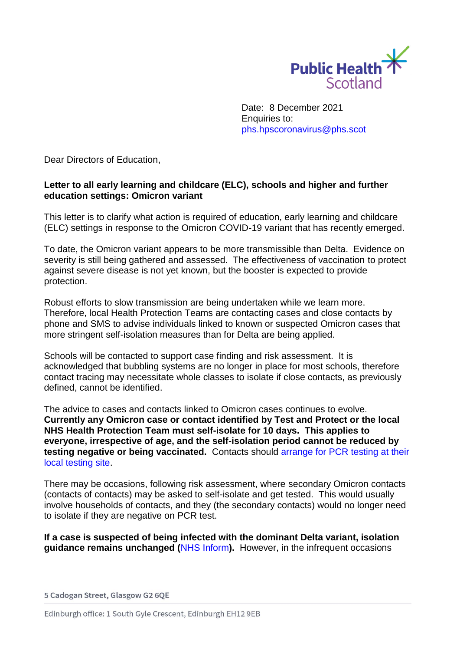

Date: 8 December 2021 Enquiries to: [phs.hpscoronavirus@phs.scot](mailto:phs.hpscoronavirus@phs.scot)

Dear Directors of Education,

## **Letter to all early learning and childcare (ELC), schools and higher and further education settings: Omicron variant**

This letter is to clarify what action is required of education, early learning and childcare (ELC) settings in response to the Omicron COVID-19 variant that has recently emerged.

To date, the Omicron variant appears to be more transmissible than Delta. Evidence on severity is still being gathered and assessed. The effectiveness of vaccination to protect against severe disease is not yet known, but the booster is expected to provide protection.

Robust efforts to slow transmission are being undertaken while we learn more. Therefore, local Health Protection Teams are contacting cases and close contacts by phone and SMS to advise individuals linked to known or suspected Omicron cases that more stringent self-isolation measures than for Delta are being applied.

Schools will be contacted to support case finding and risk assessment. It is acknowledged that bubbling systems are no longer in place for most schools, therefore contact tracing may necessitate whole classes to isolate if close contacts, as previously defined, cannot be identified.

The advice to cases and contacts linked to Omicron cases continues to evolve. **Currently any Omicron case or contact identified by Test and Protect or the local NHS Health Protection Team must self-isolate for 10 days. This applies to everyone, irrespective of age, and the self-isolation period cannot be reduced by testing negative or being vaccinated.** Contacts should [arrange for PCR testing at their](https://www.nhsinform.scot/illnesses-and-conditions/infections-and-poisoning/coronavirus-covid-19/test-and-protect/coronavirus-covid-19-get-a-test-if-you-have-symptoms)  [local testing site.](https://www.nhsinform.scot/illnesses-and-conditions/infections-and-poisoning/coronavirus-covid-19/test-and-protect/coronavirus-covid-19-get-a-test-if-you-have-symptoms)

There may be occasions, following risk assessment, where secondary Omicron contacts (contacts of contacts) may be asked to self-isolate and get tested. This would usually involve households of contacts, and they (the secondary contacts) would no longer need to isolate if they are negative on PCR test.

**If a case is suspected of being infected with the dominant Delta variant, isolation guidance remains unchanged (**[NHS Inform](https://www.nhsinform.scot/illnesses-and-conditions/infections-and-poisoning/coronavirus-covid-19/test-and-protect/coronavirus-covid-19-contact-tracing)**).** However, in the infrequent occasions

## 5 Cadogan Street, Glasgow G2 6QE